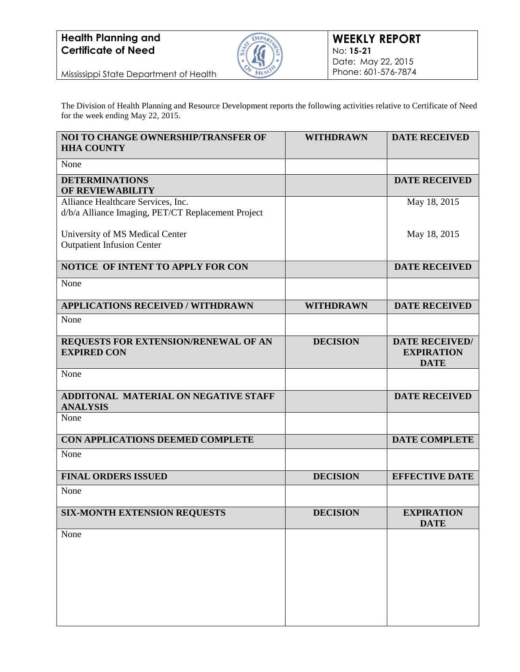

Mississippi State Department of Health

The Division of Health Planning and Resource Development reports the following activities relative to Certificate of Need for the week ending May 22, 2015.

| NOI TO CHANGE OWNERSHIP/TRANSFER OF<br><b>HHA COUNTY</b>                                 | <b>WITHDRAWN</b> | <b>DATE RECEIVED</b>                                      |
|------------------------------------------------------------------------------------------|------------------|-----------------------------------------------------------|
| None                                                                                     |                  |                                                           |
| <b>DETERMINATIONS</b><br>OF REVIEWABILITY                                                |                  | <b>DATE RECEIVED</b>                                      |
| Alliance Healthcare Services, Inc.<br>d/b/a Alliance Imaging, PET/CT Replacement Project |                  | May 18, 2015                                              |
| University of MS Medical Center<br><b>Outpatient Infusion Center</b>                     |                  | May 18, 2015                                              |
| NOTICE OF INTENT TO APPLY FOR CON                                                        |                  | <b>DATE RECEIVED</b>                                      |
| None                                                                                     |                  |                                                           |
| <b>APPLICATIONS RECEIVED / WITHDRAWN</b>                                                 | <b>WITHDRAWN</b> | <b>DATE RECEIVED</b>                                      |
| None                                                                                     |                  |                                                           |
| REQUESTS FOR EXTENSION/RENEWAL OF AN<br><b>EXPIRED CON</b>                               | <b>DECISION</b>  | <b>DATE RECEIVED/</b><br><b>EXPIRATION</b><br><b>DATE</b> |
| None                                                                                     |                  |                                                           |
| ADDITONAL MATERIAL ON NEGATIVE STAFF<br><b>ANALYSIS</b>                                  |                  | <b>DATE RECEIVED</b>                                      |
| None                                                                                     |                  |                                                           |
| CON APPLICATIONS DEEMED COMPLETE                                                         |                  | <b>DATE COMPLETE</b>                                      |
| None                                                                                     |                  |                                                           |
| <b>FINAL ORDERS ISSUED</b>                                                               | <b>DECISION</b>  | <b>EFFECTIVE DATE</b>                                     |
| None                                                                                     |                  |                                                           |
| <b>SIX-MONTH EXTENSION REQUESTS</b>                                                      | <b>DECISION</b>  | <b>EXPIRATION</b><br><b>DATE</b>                          |
| None                                                                                     |                  |                                                           |
|                                                                                          |                  |                                                           |
|                                                                                          |                  |                                                           |
|                                                                                          |                  |                                                           |
|                                                                                          |                  |                                                           |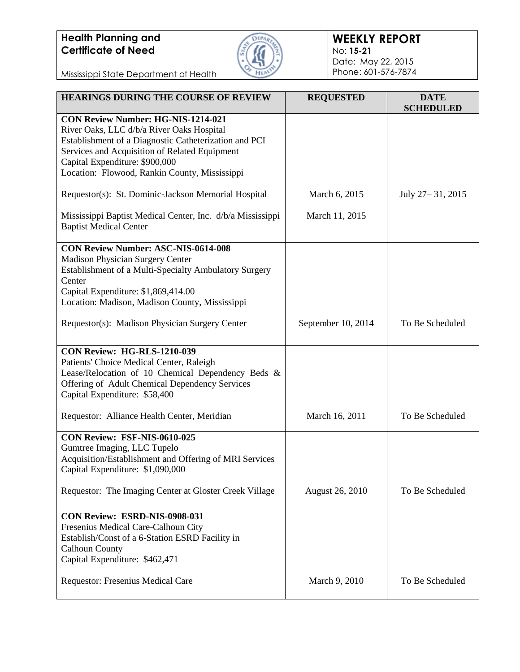

#### **WEEKLY REPORT** No: **15-21** Date: May 22, 2015 Phone: 601-576-7874

Mississippi State Department of Health

| <b>HEARINGS DURING THE COURSE OF REVIEW</b>                                                                                                                                                                                                                                  | <b>REQUESTED</b>       | <b>DATE</b><br><b>SCHEDULED</b> |
|------------------------------------------------------------------------------------------------------------------------------------------------------------------------------------------------------------------------------------------------------------------------------|------------------------|---------------------------------|
| CON Review Number: HG-NIS-1214-021<br>River Oaks, LLC d/b/a River Oaks Hospital<br>Establishment of a Diagnostic Catheterization and PCI<br>Services and Acquisition of Related Equipment<br>Capital Expenditure: \$900,000<br>Location: Flowood, Rankin County, Mississippi |                        |                                 |
| Requestor(s): St. Dominic-Jackson Memorial Hospital                                                                                                                                                                                                                          | March 6, 2015          | July 27 – 31, 2015              |
| Mississippi Baptist Medical Center, Inc. d/b/a Mississippi<br><b>Baptist Medical Center</b>                                                                                                                                                                                  | March 11, 2015         |                                 |
| <b>CON Review Number: ASC-NIS-0614-008</b><br>Madison Physician Surgery Center<br>Establishment of a Multi-Specialty Ambulatory Surgery<br>Center<br>Capital Expenditure: \$1,869,414.00<br>Location: Madison, Madison County, Mississippi                                   |                        |                                 |
| Requestor(s): Madison Physician Surgery Center                                                                                                                                                                                                                               | September 10, 2014     | To Be Scheduled                 |
| <b>CON Review: HG-RLS-1210-039</b><br>Patients' Choice Medical Center, Raleigh<br>Lease/Relocation of 10 Chemical Dependency Beds &<br>Offering of Adult Chemical Dependency Services<br>Capital Expenditure: \$58,400                                                       |                        |                                 |
| Requestor: Alliance Health Center, Meridian                                                                                                                                                                                                                                  | March 16, 2011         | To Be Scheduled                 |
| CON Review: FSF-NIS-0610-025<br>Gumtree Imaging, LLC Tupelo<br>Acquisition/Establishment and Offering of MRI Services<br>Capital Expenditure: \$1,090,000                                                                                                                    |                        |                                 |
| Requestor: The Imaging Center at Gloster Creek Village                                                                                                                                                                                                                       | <b>August 26, 2010</b> | To Be Scheduled                 |
| CON Review: ESRD-NIS-0908-031<br>Fresenius Medical Care-Calhoun City<br>Establish/Const of a 6-Station ESRD Facility in<br><b>Calhoun County</b><br>Capital Expenditure: \$462,471                                                                                           |                        |                                 |
| Requestor: Fresenius Medical Care                                                                                                                                                                                                                                            | March 9, 2010          | To Be Scheduled                 |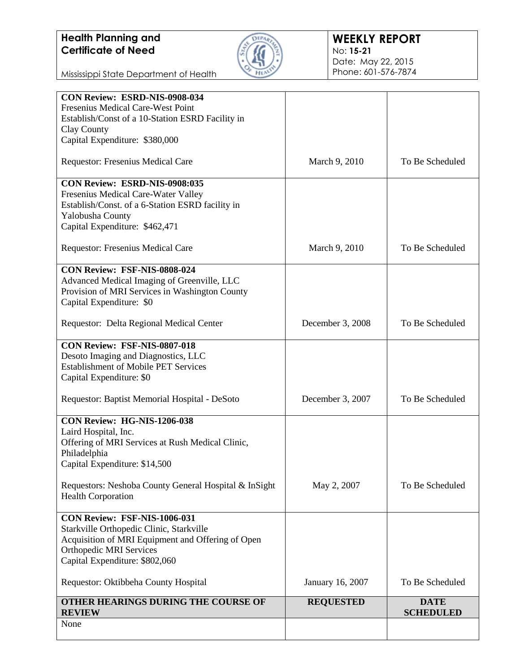

#### **WEEKLY REPORT** No: **15-21** Date: May 22, 2015 Phone: 601-576-7874

Mississippi State Department of Health

| March 9, 2010<br>March 9, 2010 |                                 |
|--------------------------------|---------------------------------|
|                                |                                 |
|                                |                                 |
|                                |                                 |
|                                | To Be Scheduled                 |
|                                | To Be Scheduled                 |
|                                |                                 |
|                                |                                 |
|                                |                                 |
|                                |                                 |
|                                |                                 |
|                                |                                 |
|                                |                                 |
|                                |                                 |
|                                |                                 |
|                                |                                 |
| December 3, 2008               | To Be Scheduled                 |
|                                |                                 |
|                                |                                 |
|                                |                                 |
|                                |                                 |
|                                |                                 |
| December 3, 2007               | To Be Scheduled                 |
|                                |                                 |
|                                |                                 |
|                                |                                 |
|                                |                                 |
|                                |                                 |
| May 2, 2007                    | To Be Scheduled                 |
|                                |                                 |
|                                |                                 |
|                                |                                 |
|                                |                                 |
|                                |                                 |
|                                |                                 |
| January 16, 2007               | To Be Scheduled                 |
|                                | <b>DATE</b><br><b>SCHEDULED</b> |
|                                | <b>REQUESTED</b>                |